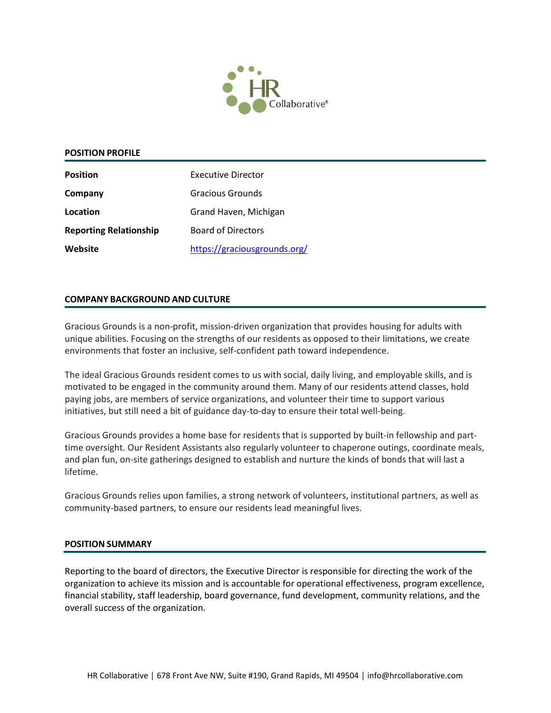

### **POSITION PROFILE**

| <b>Position</b>               | Executive Director           |
|-------------------------------|------------------------------|
| Company                       | Gracious Grounds             |
| Location                      | Grand Haven, Michigan        |
| <b>Reporting Relationship</b> | <b>Board of Directors</b>    |
| Website                       | https://graciousgrounds.org/ |

### **COMPANY BACKGROUND AND CULTURE**

Gracious Grounds is a non-profit, mission-driven organization that provides housing for adults with unique abilities. Focusing on the strengths of our residents as opposed to their limitations, we create environments that foster an inclusive, self-confident path toward independence.

The ideal Gracious Grounds resident comes to us with social, daily living, and employable skills, and is motivated to be engaged in the community around them. Many of our residents attend classes, hold paying jobs, are members of service organizations, and volunteer their time to support various initiatives, but still need a bit of guidance day-to-day to ensure their total well-being.

Gracious Grounds provides a home base for residents that is supported by built-in fellowship and parttime oversight. Our Resident Assistants also regularly volunteer to chaperone outings, coordinate meals, and plan fun, on-site gatherings designed to establish and nurture the kinds of bonds that will last a lifetime.

Gracious Grounds relies upon families, a strong network of volunteers, institutional partners, as well as community-based partners, to ensure our residents lead meaningful lives.

### **POSITION SUMMARY**

Reporting to the board of directors, the Executive Director is responsible for directing the work of the organization to achieve its mission and is accountable for operational effectiveness, program excellence, financial stability, staff leadership, board governance, fund development, community relations, and the overall success of the organization.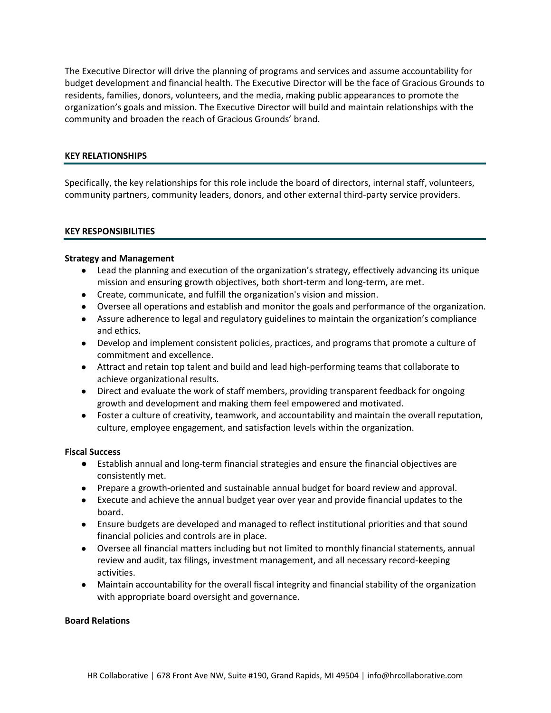The Executive Director will drive the planning of programs and services and assume accountability for budget development and financial health. The Executive Director will be the face of Gracious Grounds to residents, families, donors, volunteers, and the media, making public appearances to promote the organization's goals and mission. The Executive Director will build and maintain relationships with the community and broaden the reach of Gracious Grounds' brand.

## **KEY RELATIONSHIPS**

Specifically, the key relationships for this role include the board of directors, internal staff, volunteers, community partners, community leaders, donors, and other external third-party service providers.

### **KEY RESPONSIBILITIES**

### **Strategy and Management**

- Lead the planning and execution of the organization's strategy, effectively advancing its unique mission and ensuring growth objectives, both short-term and long-term, are met.
- Create, communicate, and fulfill the organization's vision and mission.
- Oversee all operations and establish and monitor the goals and performance of the organization.
- Assure adherence to legal and regulatory guidelines to maintain the organization's compliance and ethics.
- Develop and implement consistent policies, practices, and programs that promote a culture of commitment and excellence.
- Attract and retain top talent and build and lead high-performing teams that collaborate to achieve organizational results.
- Direct and evaluate the work of staff members, providing transparent feedback for ongoing growth and development and making them feel empowered and motivated.
- Foster a culture of creativity, teamwork, and accountability and maintain the overall reputation, culture, employee engagement, and satisfaction levels within the organization.

### **Fiscal Success**

- Establish annual and long-term financial strategies and ensure the financial objectives are consistently met.
- Prepare a growth-oriented and sustainable annual budget for board review and approval.
- Execute and achieve the annual budget year over year and provide financial updates to the board.
- Ensure budgets are developed and managed to reflect institutional priorities and that sound financial policies and controls are in place.
- Oversee all financial matters including but not limited to monthly financial statements, annual review and audit, tax filings, investment management, and all necessary record-keeping activities.
- Maintain accountability for the overall fiscal integrity and financial stability of the organization with appropriate board oversight and governance.

### **Board Relations**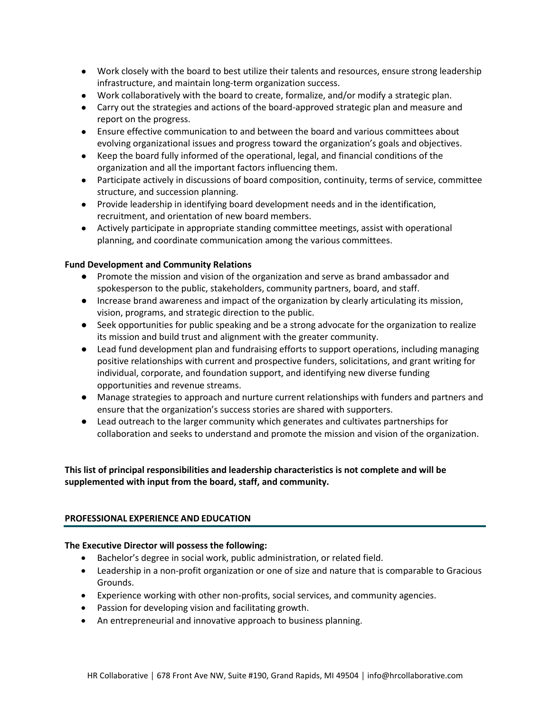- Work closely with the board to best utilize their talents and resources, ensure strong leadership infrastructure, and maintain long-term organization success.
- Work collaboratively with the board to create, formalize, and/or modify a strategic plan.
- Carry out the strategies and actions of the board-approved strategic plan and measure and report on the progress.
- Ensure effective communication to and between the board and various committees about evolving organizational issues and progress toward the organization's goals and objectives.
- Keep the board fully informed of the operational, legal, and financial conditions of the organization and all the important factors influencing them.
- Participate actively in discussions of board composition, continuity, terms of service, committee structure, and succession planning.
- Provide leadership in identifying board development needs and in the identification, recruitment, and orientation of new board members.
- Actively participate in appropriate standing committee meetings, assist with operational planning, and coordinate communication among the various committees.

## **Fund Development and Community Relations**

- Promote the mission and vision of the organization and serve as brand ambassador and spokesperson to the public, stakeholders, community partners, board, and staff.
- Increase brand awareness and impact of the organization by clearly articulating its mission, vision, programs, and strategic direction to the public.
- Seek opportunities for public speaking and be a strong advocate for the organization to realize its mission and build trust and alignment with the greater community.
- Lead fund development plan and fundraising efforts to support operations, including managing positive relationships with current and prospective funders, solicitations, and grant writing for individual, corporate, and foundation support, and identifying new diverse funding opportunities and revenue streams.
- Manage strategies to approach and nurture current relationships with funders and partners and ensure that the organization's success stories are shared with supporters.
- Lead outreach to the larger community which generates and cultivates partnerships for collaboration and seeks to understand and promote the mission and vision of the organization.

# **This list of principal responsibilities and leadership characteristics is not complete and will be supplemented with input from the board, staff, and community.**

## **PROFESSIONAL EXPERIENCE AND EDUCATION**

## **The Executive Director will possess the following:**

- Bachelor's degree in social work, public administration, or related field.
- Leadership in a non-profit organization or one of size and nature that is comparable to Gracious Grounds.
- Experience working with other non-profits, social services, and community agencies.
- Passion for developing vision and facilitating growth.
- An entrepreneurial and innovative approach to business planning.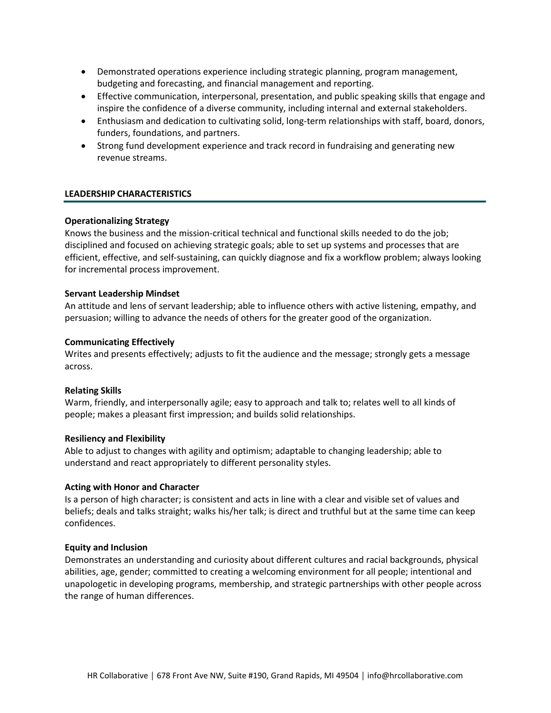- Demonstrated operations experience including strategic planning, program management, budgeting and forecasting, and financial management and reporting.
- Effective communication, interpersonal, presentation, and public speaking skills that engage and inspire the confidence of a diverse community, including internal and external stakeholders.
- Enthusiasm and dedication to cultivating solid, long-term relationships with staff, board, donors, funders, foundations, and partners.
- Strong fund development experience and track record in fundraising and generating new revenue streams.

### **LEADERSHIP CHARACTERISTICS**

### **Operationalizing Strategy**

Knows the business and the mission-critical technical and functional skills needed to do the job; disciplined and focused on achieving strategic goals; able to set up systems and processes that are efficient, effective, and self-sustaining, can quickly diagnose and fix a workflow problem; always looking for incremental process improvement.

### **Servant Leadership Mindset**

An attitude and lens of servant leadership; able to influence others with active listening, empathy, and persuasion; willing to advance the needs of others for the greater good of the organization.

### **Communicating Effectively**

Writes and presents effectively; adjusts to fit the audience and the message; strongly gets a message across.

### **Relating Skills**

Warm, friendly, and interpersonally agile; easy to approach and talk to; relates well to all kinds of people; makes a pleasant first impression; and builds solid relationships.

### **Resiliency and Flexibility**

Able to adjust to changes with agility and optimism; adaptable to changing leadership; able to understand and react appropriately to different personality styles.

### **Acting with Honor and Character**

Is a person of high character; is consistent and acts in line with a clear and visible set of values and beliefs; deals and talks straight; walks his/her talk; is direct and truthful but at the same time can keep confidences.

### **Equity and Inclusion**

Demonstrates an understanding and curiosity about different cultures and racial backgrounds, physical abilities, age, gender; committed to creating a welcoming environment for all people; intentional and unapologetic in developing programs, membership, and strategic partnerships with other people across the range of human differences.